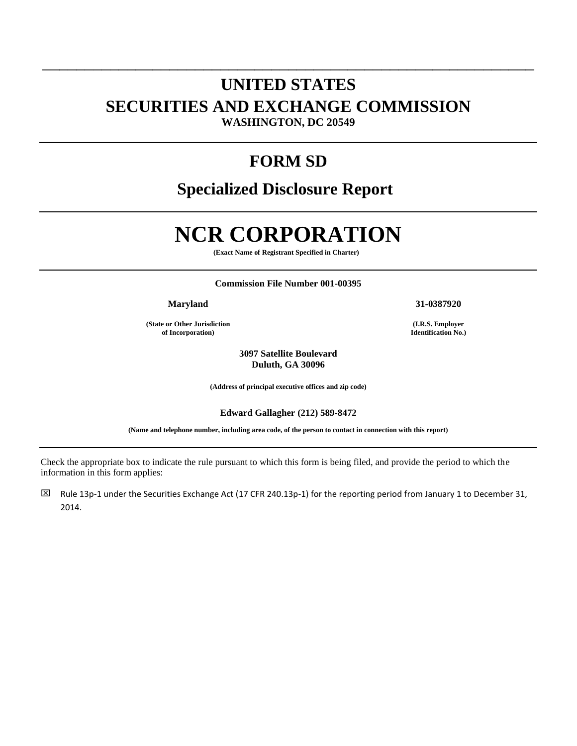## **UNITED STATES SECURITIES AND EXCHANGE COMMISSION WASHINGTON, DC 20549**

\_\_\_\_\_\_\_\_\_\_\_\_\_\_\_\_\_\_\_\_\_\_\_\_\_\_\_\_\_\_\_\_\_\_\_\_\_\_\_\_\_\_\_\_\_\_\_\_\_\_\_\_\_\_\_\_\_\_

## **FORM SD**

# **Specialized Disclosure Report**

# **NCR CORPORATION**

**(Exact Name of Registrant Specified in Charter)** 

#### **Commission File Number 001-00395**

**Maryland 31-0387920**

**(State or Other Jurisdiction of Incorporation)**

> **3097 Satellite Boulevard Duluth, GA 30096**

**(Address of principal executive offices and zip code)** 

#### **Edward Gallagher (212) 589-8472**

**(Name and telephone number, including area code, of the person to contact in connection with this report)**

Check the appropriate box to indicate the rule pursuant to which this form is being filed, and provide the period to which the information in this form applies:

EZ Rule 13p-1 under the Securities Exchange Act (17 CFR 240.13p-1) for the reporting period from January 1 to December 31, 2014.

**(I.R.S. Employer Identification No.)**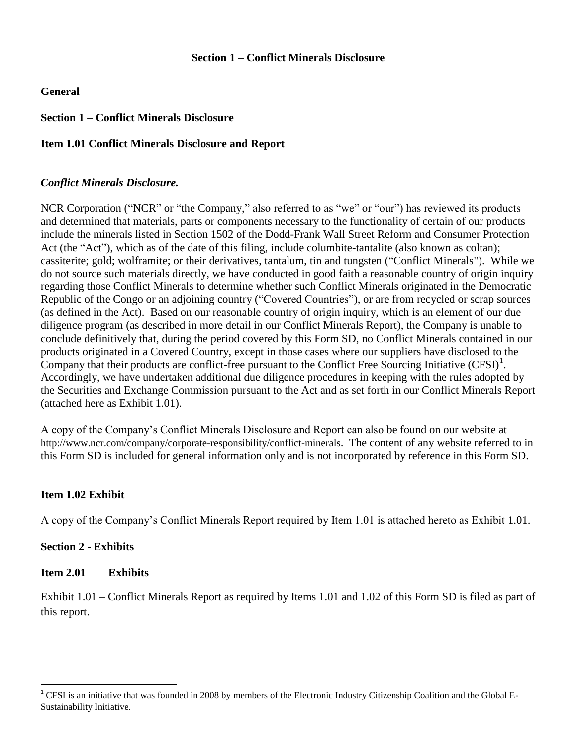#### **Section 1 – Conflict Minerals Disclosure**

#### **General**

## **Section 1 – Conflict Minerals Disclosure**

#### **Item 1.01 Conflict Minerals Disclosure and Report**

#### *Conflict Minerals Disclosure.*

NCR Corporation ("NCR" or "the Company," also referred to as "we" or "our") has reviewed its products and determined that materials, parts or components necessary to the functionality of certain of our products include the minerals listed in Section 1502 of the Dodd-Frank Wall Street Reform and Consumer Protection Act (the "Act"), which as of the date of this filing, include columbite-tantalite (also known as coltan); cassiterite; gold; wolframite; or their derivatives, tantalum, tin and tungsten ("Conflict Minerals"). While we do not source such materials directly, we have conducted in good faith a reasonable country of origin inquiry regarding those Conflict Minerals to determine whether such Conflict Minerals originated in the Democratic Republic of the Congo or an adjoining country ("Covered Countries"), or are from recycled or scrap sources (as defined in the Act). Based on our reasonable country of origin inquiry, which is an element of our due diligence program (as described in more detail in our Conflict Minerals Report), the Company is unable to conclude definitively that, during the period covered by this Form SD, no Conflict Minerals contained in our products originated in a Covered Country, except in those cases where our suppliers have disclosed to the Company that their products are conflict-free pursuant to the Conflict Free Sourcing Initiative  $(CFSI)^1$ . Accordingly, we have undertaken additional due diligence procedures in keeping with the rules adopted by the Securities and Exchange Commission pursuant to the Act and as set forth in our Conflict Minerals Report (attached here as Exhibit 1.01).

A copy of the Company's Conflict Minerals Disclosure and Report can also be found on our website at http://www.ncr.com/company/corporate-responsibility/conflict-minerals. The content of any website referred to in this Form SD is included for general information only and is not incorporated by reference in this Form SD.

#### **Item 1.02 Exhibit**

A copy of the Company's Conflict Minerals Report required by Item 1.01 is attached hereto as Exhibit 1.01.

#### **Section 2 - Exhibits**

 $\overline{a}$ 

#### **Item 2.01 Exhibits**

Exhibit 1.01 – Conflict Minerals Report as required by Items 1.01 and 1.02 of this Form SD is filed as part of this report.

<sup>&</sup>lt;sup>1</sup> CFSI is an initiative that was founded in 2008 by members of the Electronic Industry Citizenship Coalition and the Global E-Sustainability Initiative.